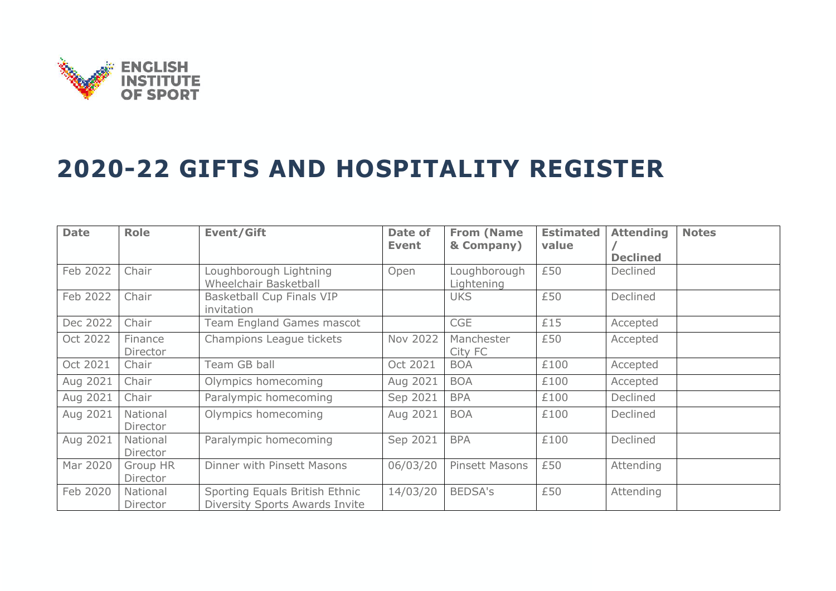

## **2020-22 GIFTS AND HOSPITALITY REGISTER**

| <b>Date</b> | <b>Role</b>          | <b>Event/Gift</b>                                                       | Date of<br><b>Event</b> | <b>From (Name</b><br>& Company) | <b>Estimated</b><br>value | <b>Attending</b><br><b>Declined</b> | <b>Notes</b> |
|-------------|----------------------|-------------------------------------------------------------------------|-------------------------|---------------------------------|---------------------------|-------------------------------------|--------------|
| Feb 2022    | Chair                | Loughborough Lightning<br>Wheelchair Basketball                         | Open                    | Loughborough<br>Lightening      | £50                       | Declined                            |              |
| Feb 2022    | Chair                | <b>Basketball Cup Finals VIP</b><br>invitation                          |                         | <b>UKS</b>                      | £50                       | Declined                            |              |
| Dec 2022    | Chair                | <b>Team England Games mascot</b>                                        |                         | <b>CGE</b>                      | £15                       | Accepted                            |              |
| Oct 2022    | Finance<br>Director  | Champions League tickets                                                | Nov 2022                | Manchester<br>City FC           | £50                       | Accepted                            |              |
| Oct 2021    | Chair                | Team GB ball                                                            | Oct 2021                | <b>BOA</b>                      | £100                      | Accepted                            |              |
| Aug 2021    | Chair                | Olympics homecoming                                                     | Aug 2021                | <b>BOA</b>                      | £100                      | Accepted                            |              |
| Aug 2021    | Chair                | Paralympic homecoming                                                   | Sep 2021                | <b>BPA</b>                      | £100                      | Declined                            |              |
| Aug 2021    | National<br>Director | Olympics homecoming                                                     | Aug 2021                | <b>BOA</b>                      | £100                      | Declined                            |              |
| Aug 2021    | National<br>Director | Paralympic homecoming                                                   | Sep 2021                | <b>BPA</b>                      | £100                      | Declined                            |              |
| Mar 2020    | Group HR<br>Director | Dinner with Pinsett Masons                                              | 06/03/20                | <b>Pinsett Masons</b>           | £50                       | Attending                           |              |
| Feb 2020    | National<br>Director | Sporting Equals British Ethnic<br><b>Diversity Sports Awards Invite</b> | 14/03/20                | <b>BEDSA's</b>                  | £50                       | Attending                           |              |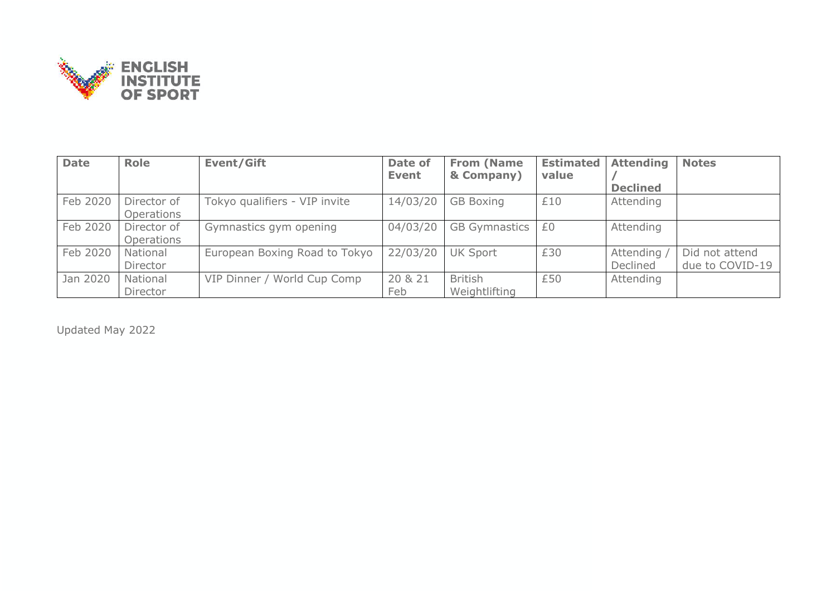

| <b>Date</b> | <b>Role</b>               | <b>Event/Gift</b>             | Date of<br><b>Event</b> | <b>From (Name</b><br>& Company) | <b>Estimated</b><br>value | <b>Attending</b>      | <b>Notes</b>                      |
|-------------|---------------------------|-------------------------------|-------------------------|---------------------------------|---------------------------|-----------------------|-----------------------------------|
|             |                           |                               |                         |                                 |                           | <b>Declined</b>       |                                   |
| Feb 2020    | Director of<br>Operations | Tokyo qualifiers - VIP invite | 14/03/20                | <b>GB Boxing</b>                | £10                       | Attending             |                                   |
| Feb 2020    | Director of<br>Operations | Gymnastics gym opening        | 04/03/20                | <b>GB Gymnastics</b>            | £0                        | Attending             |                                   |
| Feb 2020    | National<br>Director      | European Boxing Road to Tokyo | 22/03/20                | <b>UK Sport</b>                 | £30                       | Attending<br>Declined | Did not attend<br>due to COVID-19 |
| Jan 2020    | National<br>Director      | VIP Dinner / World Cup Comp   | 20 & 21<br>Feb          | <b>British</b><br>Weightlifting | £50                       | Attending             |                                   |

Updated May 2022